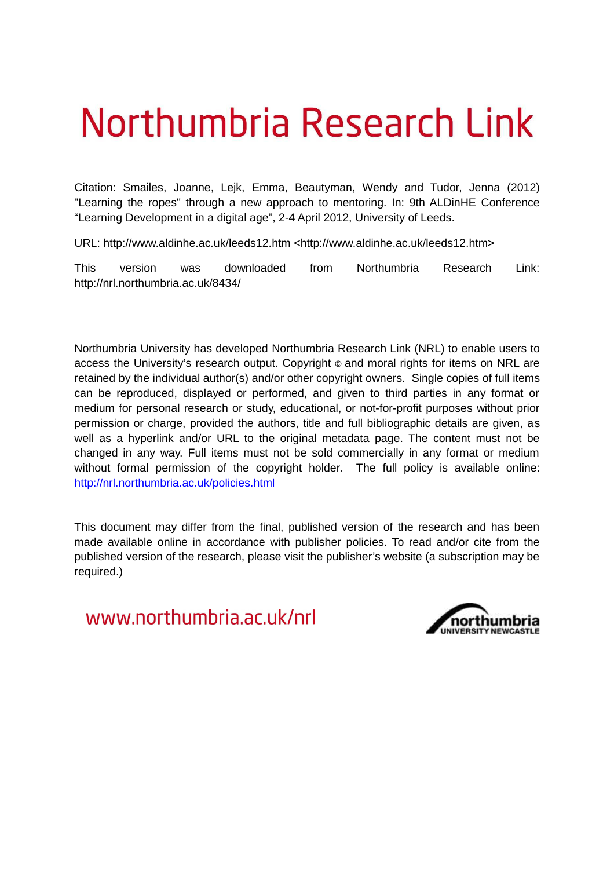# Northumbria Research Link

Citation: Smailes, Joanne, Lejk, Emma, Beautyman, Wendy and Tudor, Jenna (2012) "Learning the ropes" through a new approach to mentoring. In: 9th ALDinHE Conference "Learning Development in a digital age", 2-4 April 2012, University of Leeds.

URL: http://www.aldinhe.ac.uk/leeds12.htm <http://www.aldinhe.ac.uk/leeds12.htm>

This version was downloaded from Northumbria Research Link: http://nrl.northumbria.ac.uk/8434/

Northumbria University has developed Northumbria Research Link (NRL) to enable users to access the University's research output. Copyright © and moral rights for items on NRL are retained by the individual author(s) and/or other copyright owners. Single copies of full items can be reproduced, displayed or performed, and given to third parties in any format or medium for personal research or study, educational, or not-for-profit purposes without prior permission or charge, provided the authors, title and full bibliographic details are given, as well as a hyperlink and/or URL to the original metadata page. The content must not be changed in any way. Full items must not be sold commercially in any format or medium without formal permission of the copyright holder. The full policy is available online: <http://nrl.northumbria.ac.uk/policies.html>

This document may differ from the final, published version of the research and has been made available online in accordance with publisher policies. To read and/or cite from the published version of the research, please visit the publisher's website (a subscription may be required.)

www.northumbria.ac.uk/nrl

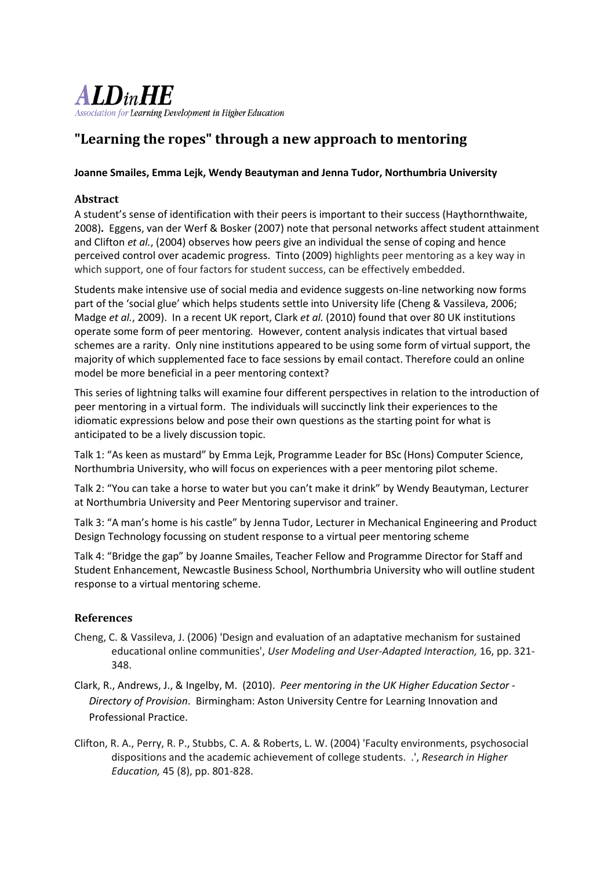

# "Learning the ropes" through a new approach to mentoring

#### Joanne Smailes, Emma Lejk, Wendy Beautyman and Jenna Tudor, Northumbria University

## **Abstract**

A student's sense of identification with their peers is important to their success (Haythornthwaite, 2008). Eggens, van der Werf & Bosker (2007) note that personal networks affect student attainment and Clifton et al., (2004) observes how peers give an individual the sense of coping and hence perceived control over academic progress. Tinto (2009) highlights peer mentoring as a key way in which support, one of four factors for student success, can be effectively embedded.

Students make intensive use of social media and evidence suggests on-line networking now forms part of the 'social glue' which helps students settle into University life (Cheng & Vassileva, 2006; Madge et al., 2009). In a recent UK report, Clark et al. (2010) found that over 80 UK institutions operate some form of peer mentoring. However, content analysis indicates that virtual based schemes are a rarity. Only nine institutions appeared to be using some form of virtual support, the majority of which supplemented face to face sessions by email contact. Therefore could an online model be more beneficial in a peer mentoring context?

This series of lightning talks will examine four different perspectives in relation to the introduction of peer mentoring in a virtual form. The individuals will succinctly link their experiences to the idiomatic expressions below and pose their own questions as the starting point for what is anticipated to be a lively discussion topic.

Talk 1: "As keen as mustard" by Emma Lejk, Programme Leader for BSc (Hons) Computer Science, Northumbria University, who will focus on experiences with a peer mentoring pilot scheme.

Talk 2: "You can take a horse to water but you can't make it drink" by Wendy Beautyman, Lecturer at Northumbria University and Peer Mentoring supervisor and trainer.

Talk 3: "A man's home is his castle" by Jenna Tudor, Lecturer in Mechanical Engineering and Product Design Technology focussing on student response to a virtual peer mentoring scheme

Talk 4: "Bridge the gap" by Joanne Smailes, Teacher Fellow and Programme Director for Staff and Student Enhancement, Newcastle Business School, Northumbria University who will outline student response to a virtual mentoring scheme.

#### **References**

- Cheng, C. & Vassileva, J. (2006) 'Design and evaluation of an adaptative mechanism for sustained educational online communities', User Modeling and User-Adapted Interaction, 16, pp. 321-348.
- Clark, R., Andrews, J., & Ingelby, M. (2010). Peer mentoring in the UK Higher Education Sector -Directory of Provision. Birmingham: Aston University Centre for Learning Innovation and Professional Practice.
- Clifton, R. A., Perry, R. P., Stubbs, C. A. & Roberts, L. W. (2004) 'Faculty environments, psychosocial dispositions and the academic achievement of college students. .', Research in Higher Education, 45 (8), pp. 801-828.